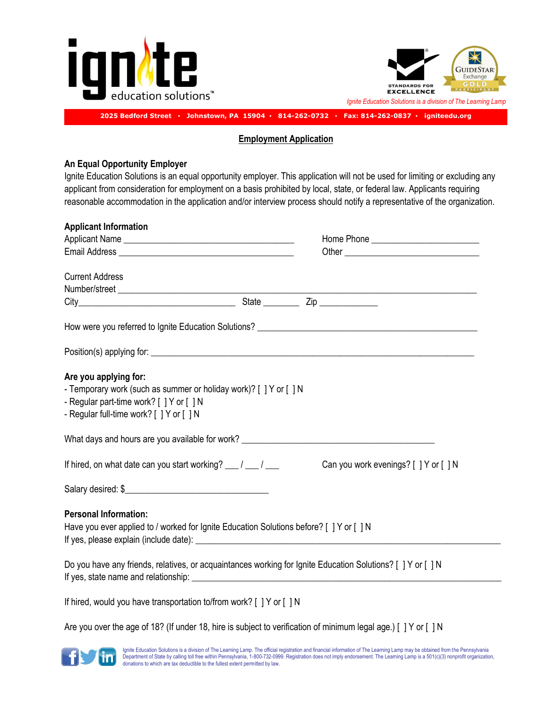



## **2025 Bedford Street ▪ Johnstown, PA 15904 ▪ 814-262-0732 ▪ Fax: 814-262-0837 ▪ igniteedu.org**

#### **Employment Application**

## **An Equal Opportunity Employer**

Ignite Education Solutions is an equal opportunity employer. This application will not be used for limiting or excluding any applicant from consideration for employment on a basis prohibited by local, state, or federal law. Applicants requiring reasonable accommodation in the application and/or interview process should notify a representative of the organization.

| <b>Applicant Information</b>                                                                                                                                                       |                                                                                                                 |
|------------------------------------------------------------------------------------------------------------------------------------------------------------------------------------|-----------------------------------------------------------------------------------------------------------------|
|                                                                                                                                                                                    | Home Phone ______________________________                                                                       |
|                                                                                                                                                                                    |                                                                                                                 |
| <b>Current Address</b>                                                                                                                                                             |                                                                                                                 |
|                                                                                                                                                                                    |                                                                                                                 |
|                                                                                                                                                                                    |                                                                                                                 |
|                                                                                                                                                                                    |                                                                                                                 |
|                                                                                                                                                                                    |                                                                                                                 |
| Are you applying for:<br>- Temporary work (such as summer or holiday work)? [ ] Y or [ ] N<br>- Regular part-time work? [ ] Y or [ ] N<br>- Regular full-time work? [ ] Y or [ ] N |                                                                                                                 |
|                                                                                                                                                                                    |                                                                                                                 |
| If hired, on what date can you start working? $\frac{1}{\sqrt{2}}$                                                                                                                 | Can you work evenings? [ ] Y or [ ] N                                                                           |
|                                                                                                                                                                                    |                                                                                                                 |
| <b>Personal Information:</b><br>Have you ever applied to / worked for Ignite Education Solutions before? [ ] Y or [ ] N                                                            |                                                                                                                 |
|                                                                                                                                                                                    | Do you have any friends, relatives, or acquaintances working for Ignite Education Solutions? [ ] Y or [ ] N     |
| If hired, would you have transportation to/from work? [ ] Y or [ ] N                                                                                                               |                                                                                                                 |
|                                                                                                                                                                                    | Are you over the age of 18? (If under 18, hire is subject to verification of minimum legal age.) [ ] Y or [ ] N |

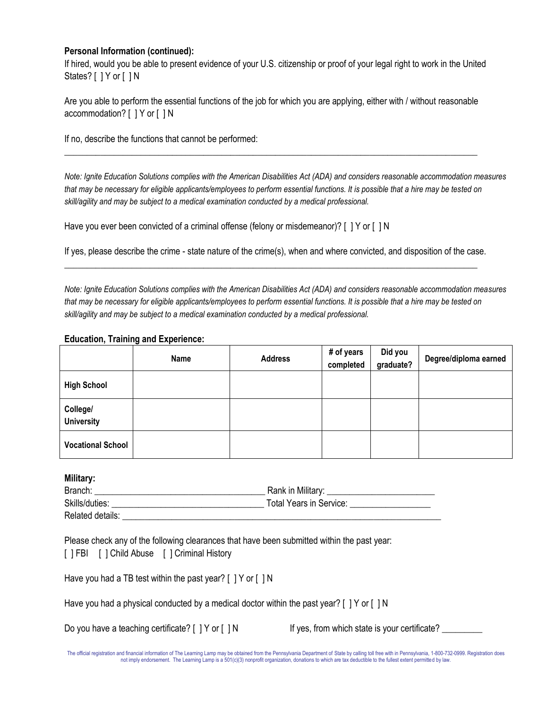## **Personal Information (continued):**

If hired, would you be able to present evidence of your U.S. citizenship or proof of your legal right to work in the United States? [ ] Y or [ ] N

| Are you able to perform the essential functions of the job for which you are applying, either with / without reasonable |  |  |
|-------------------------------------------------------------------------------------------------------------------------|--|--|
| $accommodation? [$   Y or $[$   N                                                                                       |  |  |

 $\_$  ,  $\_$  ,  $\_$  ,  $\_$  ,  $\_$  ,  $\_$  ,  $\_$  ,  $\_$  ,  $\_$  ,  $\_$  ,  $\_$  ,  $\_$  ,  $\_$  ,  $\_$  ,  $\_$  ,  $\_$  ,  $\_$  ,  $\_$  ,  $\_$  ,  $\_$  ,  $\_$  ,  $\_$  ,  $\_$  ,  $\_$  ,  $\_$  ,  $\_$  ,  $\_$  ,  $\_$  ,  $\_$  ,  $\_$  ,  $\_$  ,  $\_$  ,  $\_$  ,  $\_$  ,  $\_$  ,  $\_$  ,  $\_$  ,

If no, describe the functions that cannot be performed:

*Note: Ignite Education Solutions complies with the American Disabilities Act (ADA) and considers reasonable accommodation measures that may be necessary for eligible applicants/employees to perform essential functions. It is possible that a hire may be tested on skill/agility and may be subject to a medical examination conducted by a medical professional.* 

Have you ever been convicted of a criminal offense (felony or misdemeanor)? [ ] Y or [ ] N

If yes, please describe the crime - state nature of the crime(s), when and where convicted, and disposition of the case.  $\_$  ,  $\_$  ,  $\_$  ,  $\_$  ,  $\_$  ,  $\_$  ,  $\_$  ,  $\_$  ,  $\_$  ,  $\_$  ,  $\_$  ,  $\_$  ,  $\_$  ,  $\_$  ,  $\_$  ,  $\_$  ,  $\_$  ,  $\_$  ,  $\_$  ,  $\_$  ,  $\_$  ,  $\_$  ,  $\_$  ,  $\_$  ,  $\_$  ,  $\_$  ,  $\_$  ,  $\_$  ,  $\_$  ,  $\_$  ,  $\_$  ,  $\_$  ,  $\_$  ,  $\_$  ,  $\_$  ,  $\_$  ,  $\_$  ,

*Note: Ignite Education Solutions complies with the American Disabilities Act (ADA) and considers reasonable accommodation measures that may be necessary for eligible applicants/employees to perform essential functions. It is possible that a hire may be tested on skill/agility and may be subject to a medical examination conducted by a medical professional.*

## **Education, Training and Experience:**

|                               | Name | <b>Address</b> | # of years<br>completed | Did you<br>graduate? | Degree/diploma earned |
|-------------------------------|------|----------------|-------------------------|----------------------|-----------------------|
| <b>High School</b>            |      |                |                         |                      |                       |
| College/<br><b>University</b> |      |                |                         |                      |                       |
| <b>Vocational School</b>      |      |                |                         |                      |                       |

## **Military:**

| Branch:          | Rank in Military:              |
|------------------|--------------------------------|
| Skills/duties:   | <b>Total Years in Service:</b> |
| Related details: |                                |

|  | Please check any of the following clearances that have been submitted within the past year: |  |
|--|---------------------------------------------------------------------------------------------|--|
|  | [ ] FBI [ ] Child Abuse [ ] Criminal History                                                |  |

|  |  | Have you had a TB test within the past year? [ ] Y or [ ] N |  |  |
|--|--|-------------------------------------------------------------|--|--|
|  |  |                                                             |  |  |

|  |  |  | Have you had a physical conducted by a medical doctor within the past year? [ ] Y or [ ] N |  |  |  |  |  |
|--|--|--|--------------------------------------------------------------------------------------------|--|--|--|--|--|
|--|--|--|--------------------------------------------------------------------------------------------|--|--|--|--|--|

| Do you have a teaching certificate? [ ] Y or [ ] N |  |
|----------------------------------------------------|--|
|----------------------------------------------------|--|

If yes, from which state is your certificate? \_\_\_\_\_\_\_\_

The official registration and financial information of The Learning Lamp may be obtained from the Pennsylvania Department of State by calling toll free with in Pennsylvania, 1-800-732-0999. Registration does<br>not imply endo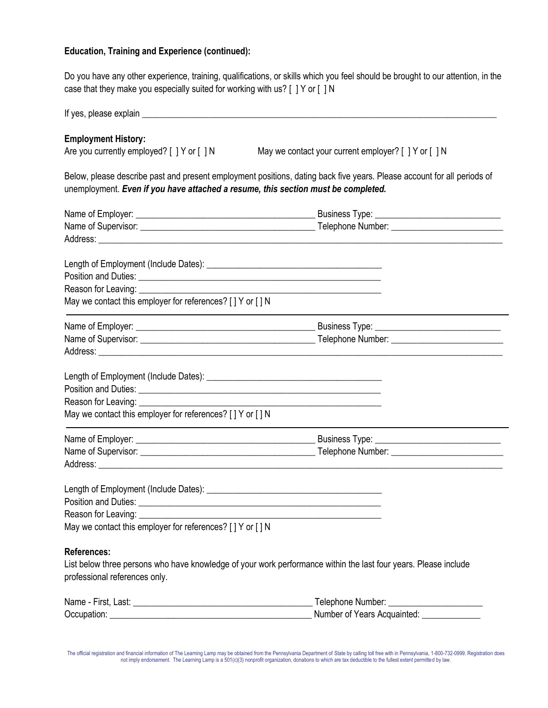# **Education, Training and Experience (continued):**

Do you have any other experience, training, qualifications, or skills which you feel should be brought to our attention, in the case that they make you especially suited for working with us? [ ] Y or [ ] N

| <b>Employment History:</b><br>Are you currently employed? [ ] Y or [ ] N                                                                                                                                                             | May we contact your current employer? [ ] Y or [ ] N                                                                    |
|--------------------------------------------------------------------------------------------------------------------------------------------------------------------------------------------------------------------------------------|-------------------------------------------------------------------------------------------------------------------------|
| unemployment. Even if you have attached a resume, this section must be completed.                                                                                                                                                    | Below, please describe past and present employment positions, dating back five years. Please account for all periods of |
|                                                                                                                                                                                                                                      |                                                                                                                         |
|                                                                                                                                                                                                                                      | the control of the control of the control of the control of the control of                                              |
|                                                                                                                                                                                                                                      |                                                                                                                         |
| Position and Duties: <u>contract and contract and contract and contract and contract and contract and contract and contract and contract and contract and contract and contract and contract and contract and contract and contr</u> |                                                                                                                         |
| May we contact this employer for references? [ ] Y or [ ] N                                                                                                                                                                          |                                                                                                                         |
|                                                                                                                                                                                                                                      |                                                                                                                         |
|                                                                                                                                                                                                                                      |                                                                                                                         |
|                                                                                                                                                                                                                                      |                                                                                                                         |
|                                                                                                                                                                                                                                      |                                                                                                                         |
|                                                                                                                                                                                                                                      |                                                                                                                         |
|                                                                                                                                                                                                                                      |                                                                                                                         |
| May we contact this employer for references? [ ] Y or [ ] N                                                                                                                                                                          |                                                                                                                         |
|                                                                                                                                                                                                                                      |                                                                                                                         |
|                                                                                                                                                                                                                                      |                                                                                                                         |
| Address: <u>Address:</u> Address: Address: Address: Address: Address: Address: Address: Address: Address: Address: Address: Address: Address: Address: Address: Address: Address: Address: Address: Address: Address: Address: Addr  |                                                                                                                         |
|                                                                                                                                                                                                                                      |                                                                                                                         |
|                                                                                                                                                                                                                                      |                                                                                                                         |
| Reason for Leaving:                                                                                                                                                                                                                  |                                                                                                                         |
| May we contact this employer for references? [ ] Y or [ ] N                                                                                                                                                                          |                                                                                                                         |
| <b>References:</b>                                                                                                                                                                                                                   |                                                                                                                         |
|                                                                                                                                                                                                                                      | List below three persons who have knowledge of your work performance within the last four years. Please include         |
| professional references only.                                                                                                                                                                                                        |                                                                                                                         |
|                                                                                                                                                                                                                                      |                                                                                                                         |
| Occupation:                                                                                                                                                                                                                          | Number of Years Acquainted:                                                                                             |

The official registration and financial information of The Learning Lamp may be obtained from the Pennsylvania Department of State by calling toll free with in Pennsylvania, 1-800-732-0999. Registration does<br>not imply endo